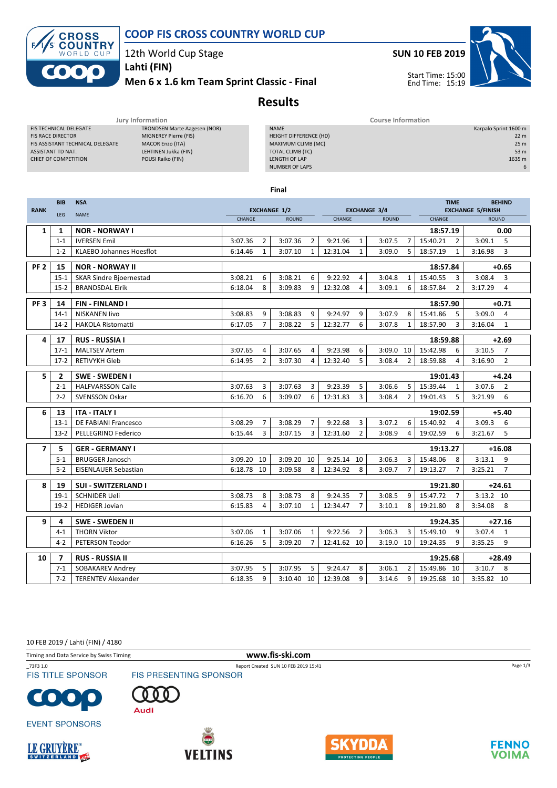



12th World Cup Stage

Men 6 x 1.6 km Team Sprint Classic - Final Lahti (FIN)



## Results

|                                  | Jury Information                    | Course Information            |                       |  |  |  |
|----------------------------------|-------------------------------------|-------------------------------|-----------------------|--|--|--|
| FIS TECHNICAL DELEGATE           | <b>TRONDSEN Marte Aagesen (NOR)</b> | <b>NAME</b>                   | Karpalo Sprint 1600 m |  |  |  |
| <b>FIS RACE DIRECTOR</b>         | MIGNEREY Pierre (FIS)               | <b>HEIGHT DIFFERENCE (HD)</b> | 22 <sub>m</sub>       |  |  |  |
| FIS ASSISTANT TECHNICAL DELEGATE | <b>MACOR Enzo (ITA)</b>             | MAXIMUM CLIMB (MC)            | 25 <sub>m</sub>       |  |  |  |
| ASSISTANT TD NAT.                | LEHTINEN Jukka (FIN)                | TOTAL CLIMB (TC)              | 53 m                  |  |  |  |
| CHIEF OF COMPETITION             | POUSI Raiko (FIN)                   | LENGTH OF LAP                 | 1635 m                |  |  |  |
|                                  |                                     | <b>NUMBER OF LAPS</b>         | 6                     |  |  |  |
|                                  |                                     |                               |                       |  |  |  |

Final

| <b>EXCHANGE 3/4</b><br><b>EXCHANGE 5/FINISH</b><br><b>RANK</b><br><b>EXCHANGE 1/2</b><br><b>NAME</b><br>LEG<br><b>CHANGE</b><br><b>CHANGE</b><br>CHANGE<br><b>ROUND</b><br><b>ROUND</b><br><b>ROUND</b><br><b>NOR - NORWAY I</b><br>0.00<br>18:57.19<br>1<br>1<br>$\overline{2}$<br>3:07.36<br>3:09.1<br>$1 - 1$<br><b>IVERSEN Emil</b><br>3:07.36<br>$\overline{2}$<br>9:21.96<br>$\mathbf{1}$<br>3:07.5<br>$\overline{7}$<br>15:40.21<br>$\overline{2}$<br><b>KLAEBO Johannes Hoesflot</b><br>$\mathbf{1}$<br>$\mathbf{1}$<br>12:31.04<br>$\mathbf 1$<br>5<br>$\mathbf{1}$<br>3:16.98<br>$1 - 2$<br>6:14.46<br>3:07.10<br>3:09.0<br>18:57.19<br>PF <sub>2</sub><br>15<br><b>NOR - NORWAY II</b><br>18:57.84<br>3:08.21<br>9:22.92<br>3:04.8<br>15:40.55<br>3:08.4<br>$15 - 1$<br>3:08.21<br>6<br>6<br>4<br>3<br><b>SKAR Sindre Bjoernestad</b><br>$\mathbf{1}$<br>$\overline{2}$<br>$15 - 2$<br><b>BRANDSDAL Eirik</b><br>6:18.04<br>8<br>3:09.83<br>9<br>12:32.08<br>4<br>3:09.1<br>6<br>18:57.84<br>3:17.29<br>PF <sub>3</sub><br>14<br><b>FIN-FINLAND I</b><br>$+0.71$<br>18:57.90<br>9<br>9:24.97<br>9<br>3:07.9<br>3:09.0<br><b>NISKANEN livo</b><br>3:08.83<br>3:08.83<br>9<br>8<br>15:41.86<br>5<br>$14-1$<br>6<br>$\overline{7}$<br>5<br>3<br><b>HAKOLA Ristomatti</b><br>3:08.22<br>12:32.77<br>3:07.8<br>18:57.90<br>3:16.04<br>$14-2$<br>6:17.05<br>1 | <b>BEHIND</b>  |  |
|--------------------------------------------------------------------------------------------------------------------------------------------------------------------------------------------------------------------------------------------------------------------------------------------------------------------------------------------------------------------------------------------------------------------------------------------------------------------------------------------------------------------------------------------------------------------------------------------------------------------------------------------------------------------------------------------------------------------------------------------------------------------------------------------------------------------------------------------------------------------------------------------------------------------------------------------------------------------------------------------------------------------------------------------------------------------------------------------------------------------------------------------------------------------------------------------------------------------------------------------------------------------------------------------------------------------------------------------------------------------|----------------|--|
|                                                                                                                                                                                                                                                                                                                                                                                                                                                                                                                                                                                                                                                                                                                                                                                                                                                                                                                                                                                                                                                                                                                                                                                                                                                                                                                                                                    |                |  |
|                                                                                                                                                                                                                                                                                                                                                                                                                                                                                                                                                                                                                                                                                                                                                                                                                                                                                                                                                                                                                                                                                                                                                                                                                                                                                                                                                                    |                |  |
|                                                                                                                                                                                                                                                                                                                                                                                                                                                                                                                                                                                                                                                                                                                                                                                                                                                                                                                                                                                                                                                                                                                                                                                                                                                                                                                                                                    |                |  |
|                                                                                                                                                                                                                                                                                                                                                                                                                                                                                                                                                                                                                                                                                                                                                                                                                                                                                                                                                                                                                                                                                                                                                                                                                                                                                                                                                                    | 5              |  |
|                                                                                                                                                                                                                                                                                                                                                                                                                                                                                                                                                                                                                                                                                                                                                                                                                                                                                                                                                                                                                                                                                                                                                                                                                                                                                                                                                                    | 3              |  |
|                                                                                                                                                                                                                                                                                                                                                                                                                                                                                                                                                                                                                                                                                                                                                                                                                                                                                                                                                                                                                                                                                                                                                                                                                                                                                                                                                                    | $+0.65$        |  |
|                                                                                                                                                                                                                                                                                                                                                                                                                                                                                                                                                                                                                                                                                                                                                                                                                                                                                                                                                                                                                                                                                                                                                                                                                                                                                                                                                                    | 3              |  |
|                                                                                                                                                                                                                                                                                                                                                                                                                                                                                                                                                                                                                                                                                                                                                                                                                                                                                                                                                                                                                                                                                                                                                                                                                                                                                                                                                                    | $\overline{4}$ |  |
|                                                                                                                                                                                                                                                                                                                                                                                                                                                                                                                                                                                                                                                                                                                                                                                                                                                                                                                                                                                                                                                                                                                                                                                                                                                                                                                                                                    |                |  |
|                                                                                                                                                                                                                                                                                                                                                                                                                                                                                                                                                                                                                                                                                                                                                                                                                                                                                                                                                                                                                                                                                                                                                                                                                                                                                                                                                                    | $\overline{a}$ |  |
|                                                                                                                                                                                                                                                                                                                                                                                                                                                                                                                                                                                                                                                                                                                                                                                                                                                                                                                                                                                                                                                                                                                                                                                                                                                                                                                                                                    | $\mathbf{1}$   |  |
|                                                                                                                                                                                                                                                                                                                                                                                                                                                                                                                                                                                                                                                                                                                                                                                                                                                                                                                                                                                                                                                                                                                                                                                                                                                                                                                                                                    |                |  |
| 4<br>17<br><b>RUS - RUSSIA I</b><br>$+2.69$<br>18:59.88                                                                                                                                                                                                                                                                                                                                                                                                                                                                                                                                                                                                                                                                                                                                                                                                                                                                                                                                                                                                                                                                                                                                                                                                                                                                                                            |                |  |
| <b>MALTSEV Artem</b><br>3:07.65<br>9:23.98<br>6<br>3:09.0<br>15:42.98<br>3:10.5<br>$17-1$<br>3:07.65<br>10<br>6<br>4<br>4                                                                                                                                                                                                                                                                                                                                                                                                                                                                                                                                                                                                                                                                                                                                                                                                                                                                                                                                                                                                                                                                                                                                                                                                                                          | $\overline{7}$ |  |
| 5<br>$\overline{2}$<br>12:32.40<br>3:16.90<br>$17-2$<br>RETIVYKH Gleb<br>6:14.95<br>3:07.30<br>4<br>3:08.4<br>2<br>18:59.88<br>4                                                                                                                                                                                                                                                                                                                                                                                                                                                                                                                                                                                                                                                                                                                                                                                                                                                                                                                                                                                                                                                                                                                                                                                                                                   | $\overline{2}$ |  |
| 5<br>$\overline{2}$<br><b>SWE - SWEDEN I</b><br>19:01.43                                                                                                                                                                                                                                                                                                                                                                                                                                                                                                                                                                                                                                                                                                                                                                                                                                                                                                                                                                                                                                                                                                                                                                                                                                                                                                           | $+4.24$        |  |
| 5<br><b>HALFVARSSON Calle</b><br>3:07.63<br>3<br>3:07.63<br>3<br>9:23.39<br>3:06.6<br>5<br>15:39.44<br>3:07.6<br>$2 - 1$<br>$\mathbf{1}$                                                                                                                                                                                                                                                                                                                                                                                                                                                                                                                                                                                                                                                                                                                                                                                                                                                                                                                                                                                                                                                                                                                                                                                                                           | $\overline{2}$ |  |
| 6<br>6<br>3<br>$2 - 2$<br><b>SVENSSON Oskar</b><br>12:31.83<br>2<br>5<br>3:21.99<br>6:16.70<br>3:09.07<br>3:08.4<br>19:01.43                                                                                                                                                                                                                                                                                                                                                                                                                                                                                                                                                                                                                                                                                                                                                                                                                                                                                                                                                                                                                                                                                                                                                                                                                                       | 6              |  |
|                                                                                                                                                                                                                                                                                                                                                                                                                                                                                                                                                                                                                                                                                                                                                                                                                                                                                                                                                                                                                                                                                                                                                                                                                                                                                                                                                                    |                |  |
| 6<br>$+5.40$<br>13<br><b>ITA - ITALY I</b><br>19:02.59                                                                                                                                                                                                                                                                                                                                                                                                                                                                                                                                                                                                                                                                                                                                                                                                                                                                                                                                                                                                                                                                                                                                                                                                                                                                                                             |                |  |
| $\overline{7}$<br>$\overline{7}$<br>9:22.68<br>3<br>3:07.2<br>3:09.3<br>DE FABIANI Francesco<br>3:08.29<br>3:08.29<br>6<br>15:40.92<br>$13-1$<br>4                                                                                                                                                                                                                                                                                                                                                                                                                                                                                                                                                                                                                                                                                                                                                                                                                                                                                                                                                                                                                                                                                                                                                                                                                 | 6              |  |
| $\overline{2}$<br>3<br>3<br>12:31.60<br>6<br>$13-2$<br>PELLEGRINO Federico<br>6:15.44<br>3:07.15<br>3:08.9<br>4<br>19:02.59<br>3:21.67                                                                                                                                                                                                                                                                                                                                                                                                                                                                                                                                                                                                                                                                                                                                                                                                                                                                                                                                                                                                                                                                                                                                                                                                                             | 5              |  |
| 5<br><b>GER - GERMANY I</b><br>19:13.27<br>$+16.08$<br>$\overline{7}$                                                                                                                                                                                                                                                                                                                                                                                                                                                                                                                                                                                                                                                                                                                                                                                                                                                                                                                                                                                                                                                                                                                                                                                                                                                                                              |                |  |
| 10<br>9:25.14<br>$5 - 1$<br><b>BRUGGER Janosch</b><br>3:09.20<br>3:09.20 10<br>10<br>3:06.3<br>3<br>15:48.06<br>8<br>3:13.1                                                                                                                                                                                                                                                                                                                                                                                                                                                                                                                                                                                                                                                                                                                                                                                                                                                                                                                                                                                                                                                                                                                                                                                                                                        | 9              |  |
| $5 - 2$<br>8<br>$\overline{7}$<br><b>EISENLAUER Sebastian</b><br>6:18.78<br>10<br>3:09.58<br>8<br>12:34.92<br>3:09.7<br>$\overline{7}$<br>19:13.27<br>3:25.21                                                                                                                                                                                                                                                                                                                                                                                                                                                                                                                                                                                                                                                                                                                                                                                                                                                                                                                                                                                                                                                                                                                                                                                                      | $\overline{7}$ |  |
| 8<br>19<br><b>SUI - SWITZERLAND I</b><br>19:21.80<br>$+24.61$                                                                                                                                                                                                                                                                                                                                                                                                                                                                                                                                                                                                                                                                                                                                                                                                                                                                                                                                                                                                                                                                                                                                                                                                                                                                                                      |                |  |
| 8<br>8<br>9:24.35<br>$\overline{7}$<br>3:08.5<br>15:47.72<br>$\overline{7}$<br>$3:13.2$ 10<br>$19-1$<br><b>SCHNIDER Ueli</b><br>3:08.73<br>3:08.73<br>9                                                                                                                                                                                                                                                                                                                                                                                                                                                                                                                                                                                                                                                                                                                                                                                                                                                                                                                                                                                                                                                                                                                                                                                                            |                |  |
| $\overline{7}$<br>12:34.47<br>8<br>$19-2$<br>6:15.83<br>4<br>3:07.10<br>$\mathbf{1}$<br>8<br>19:21.80<br>3:34.08<br><b>HEDIGER Jovian</b><br>3:10.1                                                                                                                                                                                                                                                                                                                                                                                                                                                                                                                                                                                                                                                                                                                                                                                                                                                                                                                                                                                                                                                                                                                                                                                                                | 8              |  |
| $+27.16$                                                                                                                                                                                                                                                                                                                                                                                                                                                                                                                                                                                                                                                                                                                                                                                                                                                                                                                                                                                                                                                                                                                                                                                                                                                                                                                                                           |                |  |
| 9<br>4<br><b>SWE - SWEDEN II</b><br>19:24.35                                                                                                                                                                                                                                                                                                                                                                                                                                                                                                                                                                                                                                                                                                                                                                                                                                                                                                                                                                                                                                                                                                                                                                                                                                                                                                                       |                |  |
| 3:07.06<br>9:22.56<br>$\overline{2}$<br>3:06.3<br>3:07.4<br><b>THORN Viktor</b><br>3:07.06<br>$\mathbf{1}$<br>$\mathbf{1}$<br>3<br>15:49.10<br>9<br>$4 - 1$                                                                                                                                                                                                                                                                                                                                                                                                                                                                                                                                                                                                                                                                                                                                                                                                                                                                                                                                                                                                                                                                                                                                                                                                        |                |  |
| PETERSON Teodor<br>5<br>$\overline{7}$<br>3:09.20<br>12:41.62<br>10<br>3:19.0<br>19:24.35<br>9<br>3:35.25<br>$4 - 2$<br>6:16.26<br>10                                                                                                                                                                                                                                                                                                                                                                                                                                                                                                                                                                                                                                                                                                                                                                                                                                                                                                                                                                                                                                                                                                                                                                                                                              | 1              |  |
| $\overline{7}$<br><b>RUS - RUSSIA II</b><br>$+28.49$<br>10<br>19:25.68                                                                                                                                                                                                                                                                                                                                                                                                                                                                                                                                                                                                                                                                                                                                                                                                                                                                                                                                                                                                                                                                                                                                                                                                                                                                                             | 9              |  |
| 5<br>3:07.95<br>5<br>9:24.47<br>8<br>3:06.1<br>15:49.86 10<br>3:10.7<br>$7 - 1$<br>SOBAKAREV Andrey<br>3:07.95<br>2                                                                                                                                                                                                                                                                                                                                                                                                                                                                                                                                                                                                                                                                                                                                                                                                                                                                                                                                                                                                                                                                                                                                                                                                                                                |                |  |
| <b>TERENTEV Alexander</b><br>9<br>9<br>3:35.82 10<br>$7 - 2$<br>6:18.35<br>3:10.40 10<br>12:39.08<br>9<br>19:25.68 10<br>3:14.6                                                                                                                                                                                                                                                                                                                                                                                                                                                                                                                                                                                                                                                                                                                                                                                                                                                                                                                                                                                                                                                                                                                                                                                                                                    | 8              |  |

10 FEB 2019 / Lahti (FIN) / 4180

Timing and Data Service by Swiss Timing **www.fis-ski.com** 

\_73F3 1.0<br>FIS TITLE SPONSOR FIS PRESENTING SPONSOR **FIS TITLE SPONSOR** 







**EVENT SPONSORS** 









Page 1/3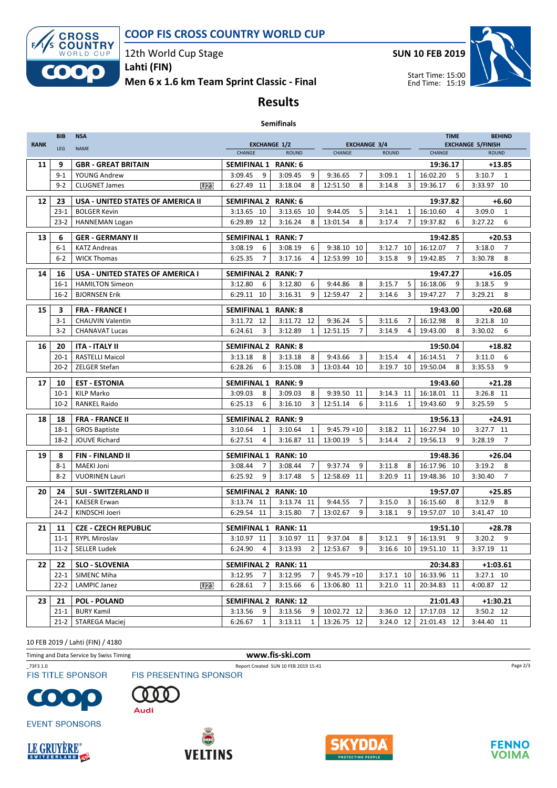

### COOP FIS CROSS COUNTRY WORLD CUP

12th World Cup Stage

Men 6 x 1.6 km Team Sprint Classic - Final Lahti (FIN)

SUN 10 FEB 2019



### Results

#### Semifinals

| <b>RANK</b> | <b>BIB</b>           | <b>NSA</b>                                |                                                      |                                | <b>EXCHANGE 3/4</b>        |                                         | <b>BEHIND</b><br><b>TIME</b><br><b>EXCHANGE 5/FINISH</b> |                           |  |
|-------------|----------------------|-------------------------------------------|------------------------------------------------------|--------------------------------|----------------------------|-----------------------------------------|----------------------------------------------------------|---------------------------|--|
|             | LEG                  | <b>NAME</b>                               | <b>EXCHANGE 1/2</b><br><b>CHANGE</b><br><b>ROUND</b> |                                | CHANGE                     | <b>ROUND</b>                            | CHANGE                                                   | <b>ROUND</b>              |  |
| 11          | 9                    | <b>GBR - GREAT BRITAIN</b>                | RANK: 6<br><b>SEMIFINAL 1</b>                        |                                |                            |                                         | 19:36.17                                                 | $+13.85$                  |  |
|             | $9 - 1$              | YOUNG Andrew                              | 3:09.45<br>9                                         | 3:09.45<br>9                   | 9:36.65<br>$\overline{7}$  | 3:09.1<br>1                             | 16:02.20<br>5                                            | $3:10.7$ 1                |  |
|             | $9 - 2$              | U23<br><b>CLUGNET James</b>               | 6:27.49 11                                           | 3:18.04<br>8                   | 12:51.50<br>8              | 3:14.8<br>3                             | 19:36.17<br>6                                            | 3:33.97 10                |  |
|             |                      |                                           |                                                      |                                |                            |                                         |                                                          |                           |  |
| 12          | 23<br>$23 - 1$       | <b>USA - UNITED STATES OF AMERICA II</b>  | <b>SEMIFINAL 2</b>                                   | <b>RANK: 6</b>                 |                            |                                         | 19:37.82                                                 | $+6.60$<br>$\mathbf{1}$   |  |
|             | $23-2$               | <b>BOLGER Kevin</b>                       | 3:13.65 10<br>6:29.89 12                             | 3:13.65 10<br>3:16.24<br>8     | 9:44.05<br>5<br>8          | 3:14.1<br>1<br>3:17.4<br>$\overline{7}$ | 16:10.60<br>4<br>19:37.82<br>6                           | 3:09.0<br>6<br>3:27.22    |  |
|             |                      | <b>HANNEMAN Logan</b>                     |                                                      |                                | 13:01.54                   |                                         |                                                          |                           |  |
| 13          | 6                    | <b>GER - GERMANY II</b>                   | <b>SEMIFINAL 1</b>                                   | <b>RANK: 7</b>                 | 19:42.85                   |                                         |                                                          | $+20.53$                  |  |
|             | $6 - 1$              | <b>KATZ Andreas</b>                       | 3:08.19<br>6                                         | 3:08.19<br>6                   | 9:38.10<br>10              | $3:12.7$ 10                             | 16:12.07<br>$\overline{7}$                               | 3:18.0<br>7               |  |
|             | $6 - 2$              | <b>WICK Thomas</b>                        | $\overline{7}$<br>6:25.35                            | 3:17.16<br>4                   | 12:53.99<br>10             | 3:15.8<br>9                             | $\overline{7}$<br>19:42.85                               | 8<br>3:30.78              |  |
| 14          | 16                   | <b>USA - UNITED STATES OF AMERICA I</b>   | SEMIFINAL 2 RANK: 7                                  |                                |                            |                                         | 19:47.27                                                 | $+16.05$                  |  |
|             | $16-1$               | <b>HAMILTON Simeon</b>                    | 3:12.80<br>6                                         | 3:12.80<br>6                   | 9:44.86<br>8               | 3:15.7<br>5                             | 16:18.06<br>9                                            | 3:18.5<br>9               |  |
|             | $16-2$               | <b>BJORNSEN Erik</b>                      | 6:29.11<br>10                                        | 3:16.31<br>9                   | 12:59.47<br>$\overline{2}$ | 3:14.6<br>3                             | $\overline{7}$<br>19:47.27                               | 8<br>3:29.21              |  |
| 15          | 3                    | <b>FRA - FRANCE I</b>                     | <b>SEMIFINAL 1</b>                                   | <b>RANK: 8</b>                 |                            |                                         | 19:43.00                                                 | $+20.68$                  |  |
|             | $3-1$                | <b>CHAUVIN Valentin</b>                   | 3:11.72 12                                           | 3:11.72 12                     | 9:36.24<br>5               | 3:11.6<br>7                             | 16:12.98<br>8                                            | 3:21.8 10                 |  |
|             | $3 - 2$              | <b>CHANAVAT Lucas</b>                     | 6:24.61<br>3                                         | 3:12.89<br>$\mathbf{1}$        | 12:51.15<br>$\overline{7}$ | 3:14.9<br>4                             | 19:43.00<br>8                                            | 3:30.02<br>6              |  |
|             |                      |                                           |                                                      |                                |                            |                                         |                                                          |                           |  |
| 16          | 20                   | <b>ITA - ITALY II</b>                     | <b>SEMIFINAL 2</b>                                   | <b>RANK: 8</b>                 |                            |                                         | 19:50.04                                                 | $+18.82$                  |  |
|             | $20 - 1$             | <b>RASTELLI Maicol</b>                    | 3:13.18<br>8                                         | 3:13.18<br>8                   | 9:43.66<br>3               | 3:15.4<br>$\overline{4}$                | 16:14.51<br>$\overline{7}$                               | 6<br>3:11.0               |  |
|             | $20 - 2$             | ZELGER Stefan                             | 6:28.26<br>6                                         | 3:15.08<br>3                   | 13:03.44<br>10             | 3:19.7<br>10                            | 19:50.04<br>8                                            | 3:35.53<br>9              |  |
| 17          | 10                   | <b>EST - ESTONIA</b>                      | SEMIFINAL 1<br>RANK: 9                               |                                |                            |                                         | $+21.28$                                                 |                           |  |
|             | $10-1$               | <b>KILP Marko</b>                         | 3:09.03<br>8                                         | 3:09.03<br>8                   | 9:39.50<br>11              | 3:14.3<br>11                            | 16:18.01 11                                              | 3:26.8 11                 |  |
|             | $10-2$               | <b>RANKEL Raido</b>                       | 6:25.13<br>6                                         | 3:16.10<br>3                   | 6<br>12:51.14              | 3:11.6<br>1                             | 9<br>19:43.60                                            | 5<br>3:25.59              |  |
| 18          | 18                   | <b>FRA - FRANCE II</b>                    | <b>SEMIFINAL 2</b>                                   | <b>RANK: 9</b>                 |                            |                                         | 19:56.13                                                 | $+24.91$                  |  |
|             | $18-1$               | <b>GROS Baptiste</b>                      | 3:10.64<br>1                                         | 3:10.64<br>$\mathbf{1}$        | $9:45.79 = 10$             | 3:18.2 11                               | 16:27.94<br>10                                           | 3:27.7 11                 |  |
|             | $18-2$               | JOUVE Richard                             | 6:27.51<br>4                                         | 3:16.87 11                     | 13:00.19<br>5              | 3:14.4<br>2                             | 19:56.13<br>9                                            | 3:28.19<br>$\overline{7}$ |  |
|             |                      |                                           |                                                      |                                |                            |                                         |                                                          |                           |  |
| 19          | 8                    | <b>FIN-FINLAND II</b>                     | <b>SEMIFINAL 1</b>                                   | <b>RANK: 10</b>                |                            |                                         | 19:48.36                                                 | $+26.04$                  |  |
|             | $8 - 1$              | <b>MAEKI Joni</b>                         | 3:08.44<br>7                                         | 3:08.44<br>7                   | 9:37.74<br>9               | 3:11.8<br>8                             | 16:17.96 10                                              | 3:19.2<br>8               |  |
|             | $8 - 2$              | <b>VUORINEN Lauri</b>                     | 6:25.92<br>9                                         | 3:17.48<br>5                   | 12:58.69<br>11             | 11<br>3:20.9                            | 19:48.36 10                                              | $\overline{7}$<br>3:30.40 |  |
| 20          | 24                   | <b>SUI - SWITZERLAND II</b>               | SEMIFINAL 2 RANK: 10                                 |                                |                            |                                         | 19:57.07                                                 | $+25.85$                  |  |
|             | $24-1$               | <b>KAESER Erwan</b>                       | 3:13.74 11                                           | 3:13.74 11                     | 9:44.55<br>$\overline{7}$  | 3:15.0<br>3                             | 16:15.60<br>8                                            | 3:12.9<br>8               |  |
|             | $24-2$               | KINDSCHI Joeri                            | 6:29.54 11                                           | 3:15.80<br>$\overline{7}$      | 13:02.67<br>9              | 3:18.1<br>9                             | 19:57.07 10                                              | 3:41.47 10                |  |
| 21          | 11                   | <b>CZE - CZECH REPUBLIC</b>               | SEMIFINAL 1 RANK: 11<br>19:51.10                     |                                |                            |                                         | $+28.78$                                                 |                           |  |
|             | $11 - 1$             | <b>RYPL Miroslav</b>                      | 3:10.97 11                                           | 3:10.97 11                     | 9:37.04<br>8               | 3:12.1<br>9                             | 16:13.91<br>9                                            | 3:20.2<br>9               |  |
|             | $11-2$               | <b>SELLER Ludek</b>                       | 6:24.90<br>4                                         | 3:13.93<br>$\overline{2}$      | 12:53.67<br>9              | 3:16.6 10                               | 19:51.10 11                                              | 3:37.19 11                |  |
|             |                      |                                           |                                                      |                                |                            |                                         |                                                          |                           |  |
| 22          | 22                   | <b>SLO - SLOVENIA</b>                     | SEMIFINAL 2 RANK: 11                                 | 3:12.95                        | $9:45.79 = 10$             |                                         | 20:34.83                                                 | $+1:03.61$                |  |
|             | $22 - 1$<br>$22 - 2$ | SIMENC Miha<br>LAMPIC Janez<br><b>U23</b> | 3:12.95<br>7<br>6:28.61<br>$\overline{7}$            | $\overline{7}$<br>3:15.66<br>6 | 13:06.80 11                | $3:17.1$ 10<br>3:21.0 11                | 16:33.96 11<br>20:34.83 11                               | 3:27.1 10<br>4:00.87 12   |  |
|             |                      |                                           |                                                      |                                |                            |                                         |                                                          |                           |  |
| 23          | 21                   | <b>POL - POLAND</b>                       | <b>SEMIFINAL 2</b>                                   | <b>RANK: 12</b>                |                            |                                         | 21:01.43                                                 | +1:30.21                  |  |
|             | $21-1$               | <b>BURY Kamil</b>                         | 3:13.56<br>9                                         | 3:13.56<br>9                   | 10:02.72 12                | 3:36.0 12                               | 17:17.03 12                                              | 3:50.2 12                 |  |
|             | $21 - 2$             | <b>STAREGA Maciej</b>                     | 6:26.67<br>1                                         | 3:13.11<br>1                   | 13:26.75 12                | 3:24.0 12                               | 21:01.43 12                                              | 3:44.40 11                |  |

10 FEB 2019 / Lahti (FIN) / 4180

Timing and Data Service by Swiss Timing **www.fis-ski.com** 

\_73F3 1.0<br>FIS TITLE SPONSOR FIS PRESENTING SPONSOR **FIS TITLE SPONSOR** 



n Audi





 $\bullet$ O







**FENNO VOIMA**